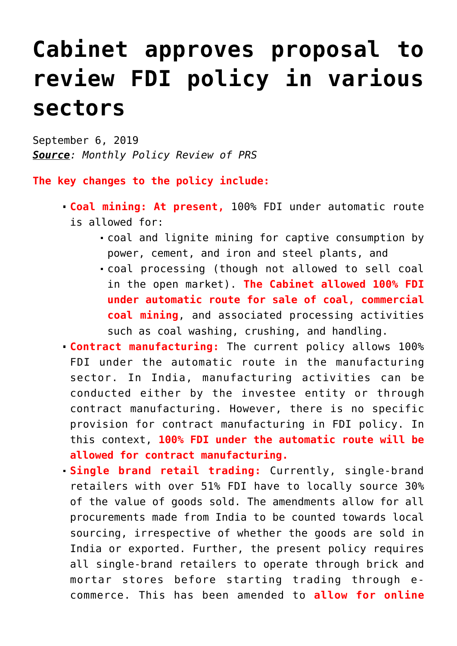## **[Cabinet approves proposal to](https://journalsofindia.com/cabinet-approves-proposal-to-review-fdi-policy-in-various-sectors/) [review FDI policy in various](https://journalsofindia.com/cabinet-approves-proposal-to-review-fdi-policy-in-various-sectors/) [sectors](https://journalsofindia.com/cabinet-approves-proposal-to-review-fdi-policy-in-various-sectors/)**

September 6, 2019 *Source: Monthly Policy Review of PRS*

**The key changes to the policy include:**

- **Coal mining: At present,** 100% FDI under automatic route is allowed for:
	- coal and lignite mining for captive consumption by power, cement, and iron and steel plants, and
	- coal processing (though not allowed to sell coal in the open market). **The Cabinet allowed 100% FDI under automatic route for sale of coal, commercial coal mining**, and associated processing activities such as coal washing, crushing, and handling.
- **Contract manufacturing:** The current policy allows 100% FDI under the automatic route in the manufacturing sector. In India, manufacturing activities can be conducted either by the investee entity or through contract manufacturing. However, there is no specific provision for contract manufacturing in FDI policy. In this context, **100% FDI under the automatic route will be allowed for contract manufacturing.**
- **Single brand retail trading:** Currently, single-brand retailers with over 51% FDI have to locally source 30% of the value of goods sold. The amendments allow for all procurements made from India to be counted towards local sourcing, irrespective of whether the goods are sold in India or exported. Further, the present policy requires all single-brand retailers to operate through brick and mortar stores before starting trading through ecommerce. This has been amended to **allow for online**